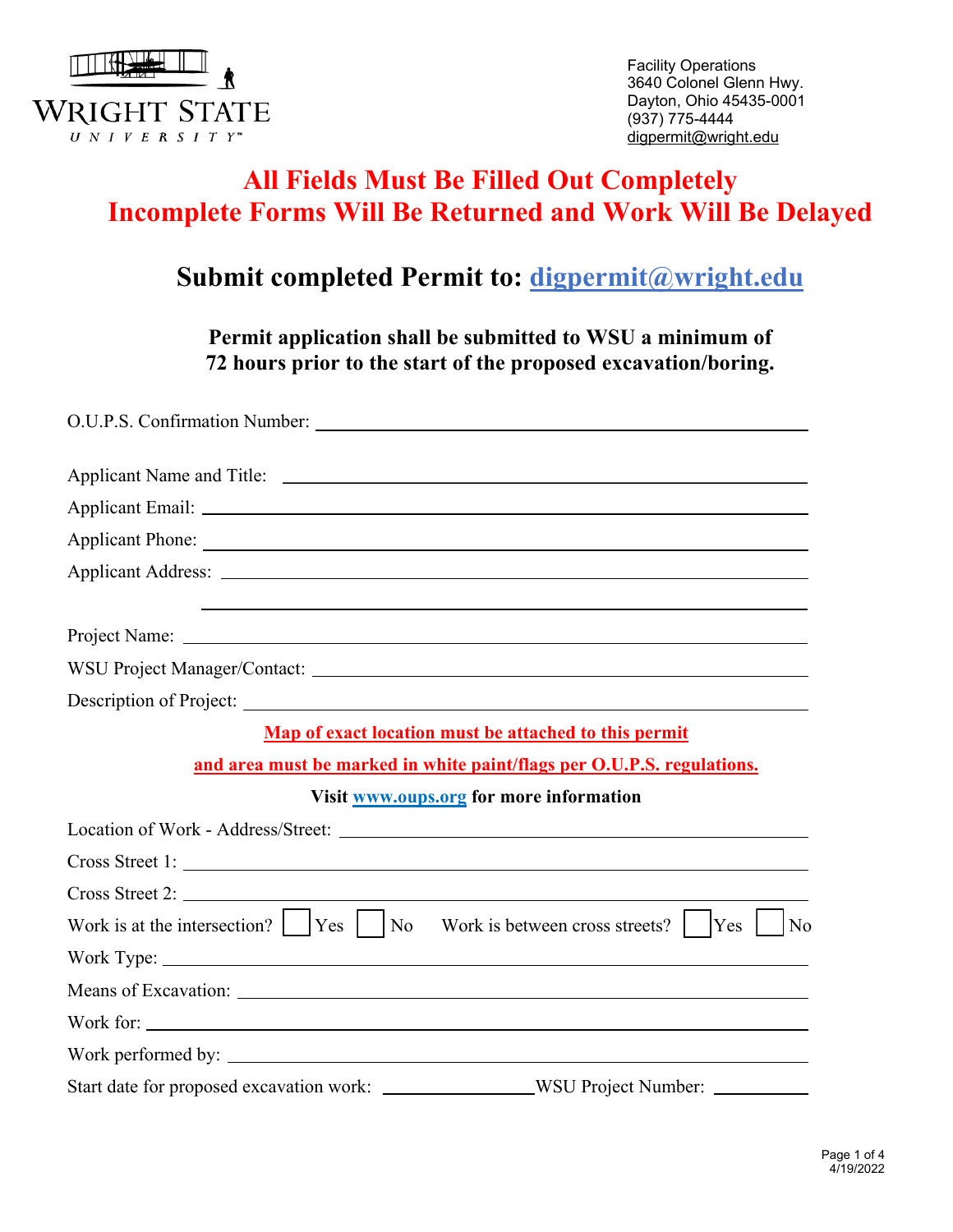

Facility Operations 3640 Colonel Glenn Hwy. Dayton, Ohio 45435-0001 (937) 775-4444 digpermit@wright.edu

# **All Fields Must Be Filled Out Completely Incomplete Forms Will Be Returned and Work Will Be Delayed**

## **Submit completed Permit to: digpermit@wright.edu**

**Permit application shall be submitted to WSU a minimum of 72 hours prior to the start of the proposed excavation/boring.**

| Map of exact location must be attached to this permit                                   |
|-----------------------------------------------------------------------------------------|
| and area must be marked in white paint/flags per O.U.P.S. regulations.                  |
| Visit www.oups.org for more information                                                 |
|                                                                                         |
| Cross Street 1:                                                                         |
| Cross Street 2:                                                                         |
| No                                                                                      |
|                                                                                         |
|                                                                                         |
| Work for:                                                                               |
|                                                                                         |
| Start date for proposed excavation work: _________________WSU Project Number: _________ |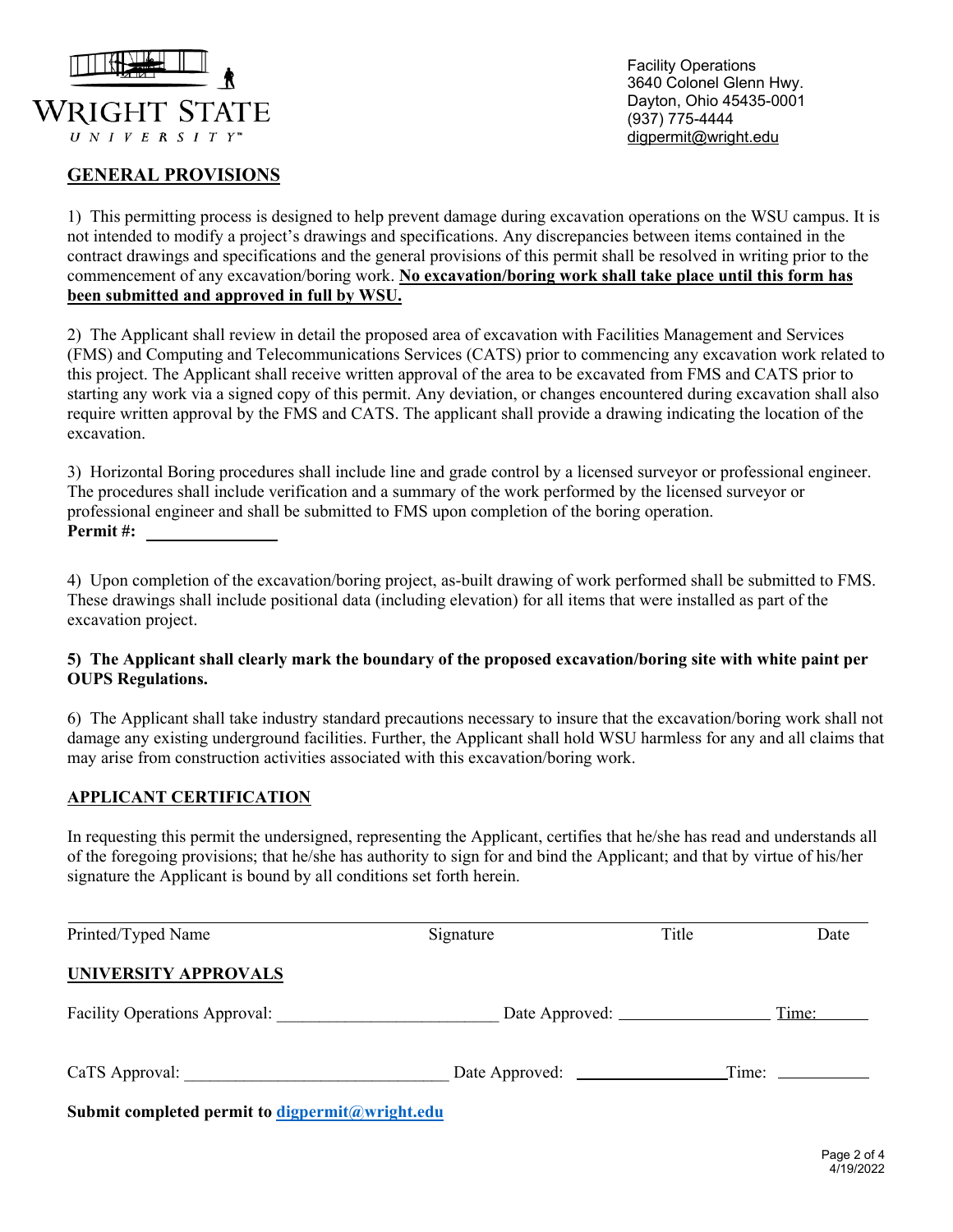

#### **GENERAL PROVISIONS**

Facility Operations 3640 Colonel Glenn Hwy. Dayton, Ohio 45435-0001 (937) 775-4444 digpermit@wright.edu

1) This permitting process is designed to help prevent damage during excavation operations on the WSU campus. It is not intended to modify a project's drawings and specifications. Any discrepancies between items contained in the contract drawings and specifications and the general provisions of this permit shall be resolved in writing prior to the commencement of any excavation/boring work. **No excavation/boring work shall take place until this form has been submitted and approved in full by WSU.** 

2) The Applicant shall review in detail the proposed area of excavation with Facilities Management and Services (FMS) and Computing and Telecommunications Services (CATS) prior to commencing any excavation work related to this project. The Applicant shall receive written approval of the area to be excavated from FMS and CATS prior to starting any work via a signed copy of this permit. Any deviation, or changes encountered during excavation shall also require written approval by the FMS and CATS. The applicant shall provide a drawing indicating the location of the excavation.

3) Horizontal Boring procedures shall include line and grade control by a licensed surveyor or professional engineer. The procedures shall include verification and a summary of the work performed by the licensed surveyor or professional engineer and shall be submitted to FMS upon completion of the boring operation. **Permit #:**

4) Upon completion of the excavation/boring project, as-built drawing of work performed shall be submitted to FMS. These drawings shall include positional data (including elevation) for all items that were installed as part of the excavation project.

#### **5) The Applicant shall clearly mark the boundary of the proposed excavation/boring site with white paint per OUPS Regulations.**

6) The Applicant shall take industry standard precautions necessary to insure that the excavation/boring work shall not damage any existing underground facilities. Further, the Applicant shall hold WSU harmless for any and all claims that may arise from construction activities associated with this excavation/boring work.

#### **APPLICANT CERTIFICATION**

In requesting this permit the undersigned, representing the Applicant, certifies that he/she has read and understands all of the foregoing provisions; that he/she has authority to sign for and bind the Applicant; and that by virtue of his/her signature the Applicant is bound by all conditions set forth herein.

| Printed/Typed Name                                                            | Signature | Title | Date  |
|-------------------------------------------------------------------------------|-----------|-------|-------|
| UNIVERSITY APPROVALS                                                          |           |       |       |
| <b>Facility Operations Approval:</b>                                          |           |       | Time: |
| CaTS Approval:                                                                |           | Time: |       |
| $\alpha$ is the set of $\alpha$ in the set of $\alpha$ is the set of $\alpha$ |           |       |       |

**Submit completed permit to digpermit@wright.edu**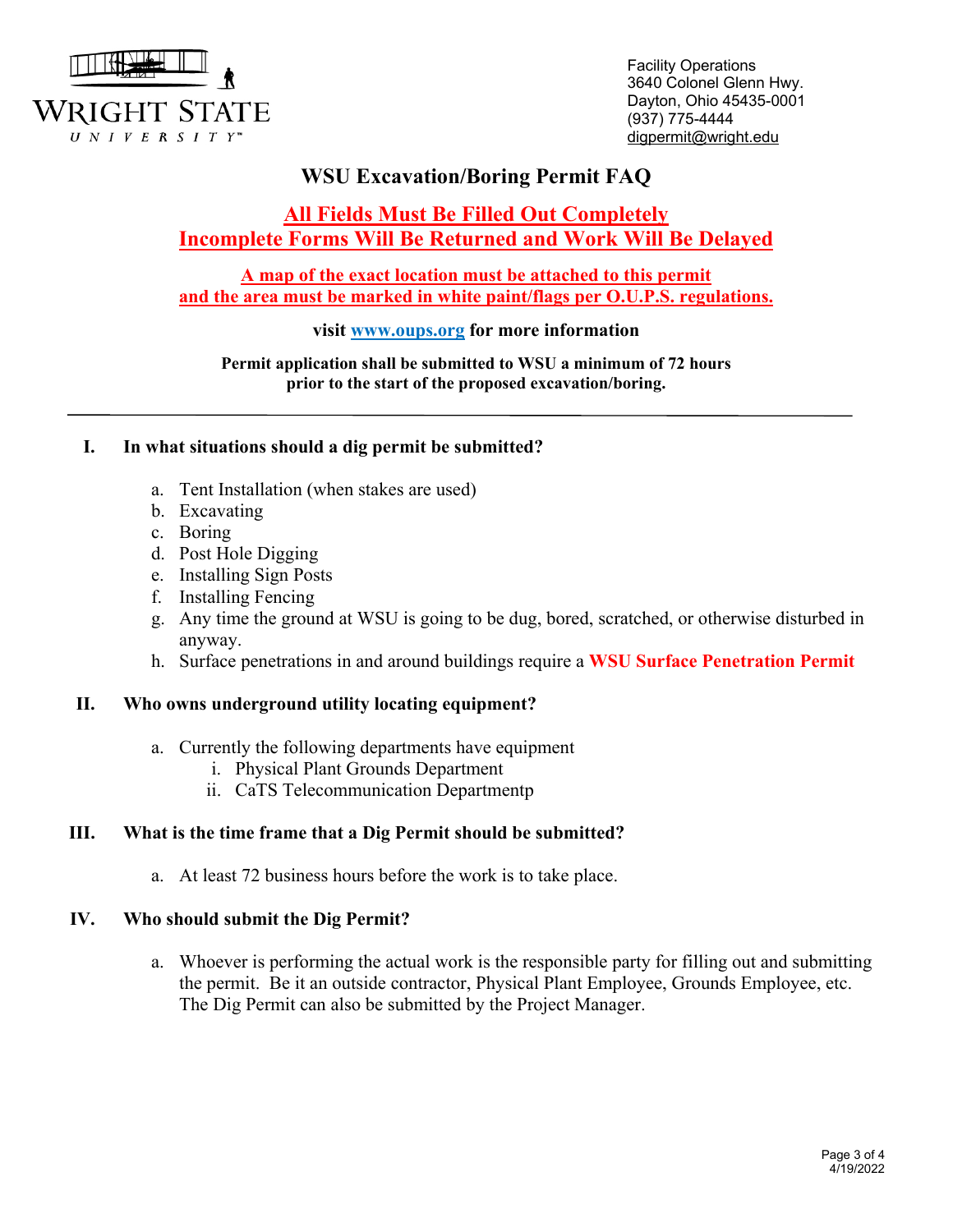

Facility Operations 3640 Colonel Glenn Hwy. Dayton, Ohio 45435-0001 (937) 775-4444 digpermit@wright.edu

## **WSU Excavation/Boring Permit FAQ**

### **All Fields Must Be Filled Out Completely Incomplete Forms Will Be Returned and Work Will Be Delayed**

**A map of the exact location must be attached to this permit and the area must be marked in white paint/flags per O.U.P.S. regulations.**

#### **visit www.oups.org for more information**

**Permit application shall be submitted to WSU a minimum of 72 hours prior to the start of the proposed excavation/boring.** 

#### **I. In what situations should a dig permit be submitted?**

- a. Tent Installation (when stakes are used)
- b. Excavating
- c. Boring
- d. Post Hole Digging
- e. Installing Sign Posts
- f. Installing Fencing
- g. Any time the ground at WSU is going to be dug, bored, scratched, or otherwise disturbed in anyway.
- h. Surface penetrations in and around buildings require a **WSU Surface Penetration Permit**

#### **II. Who owns underground utility locating equipment?**

- a. Currently the following departments have equipment
	- i. Physical Plant Grounds Department
	- ii. CaTS Telecommunication Departmentp

#### **III. What is the time frame that a Dig Permit should be submitted?**

a. At least 72 business hours before the work is to take place.

#### **IV. Who should submit the Dig Permit?**

a. Whoever is performing the actual work is the responsible party for filling out and submitting the permit. Be it an outside contractor, Physical Plant Employee, Grounds Employee, etc. The Dig Permit can also be submitted by the Project Manager.